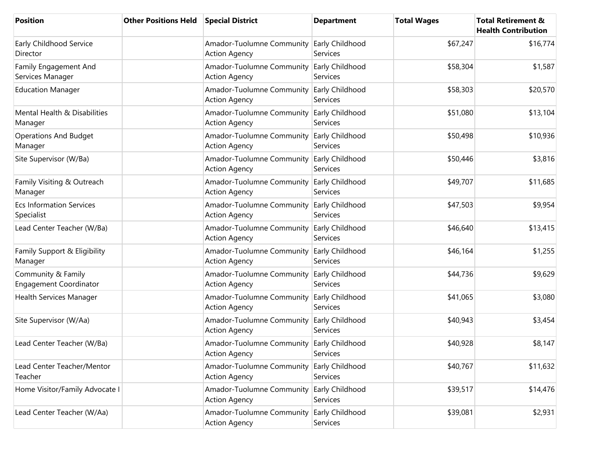| <b>Position</b>                                     | <b>Other Positions Held</b> | <b>Special District</b>                           | <b>Department</b>           | <b>Total Wages</b> | <b>Total Retirement &amp;</b><br><b>Health Contribution</b> |
|-----------------------------------------------------|-----------------------------|---------------------------------------------------|-----------------------------|--------------------|-------------------------------------------------------------|
| Early Childhood Service<br>Director                 |                             | Amador-Tuolumne Community<br><b>Action Agency</b> | Early Childhood<br>Services | \$67,247           | \$16,774                                                    |
| Family Engagement And<br>Services Manager           |                             | Amador-Tuolumne Community<br><b>Action Agency</b> | Early Childhood<br>Services | \$58,304           | \$1,587                                                     |
| <b>Education Manager</b>                            |                             | Amador-Tuolumne Community<br><b>Action Agency</b> | Early Childhood<br>Services | \$58,303           | \$20,570                                                    |
| Mental Health & Disabilities<br>Manager             |                             | Amador-Tuolumne Community<br><b>Action Agency</b> | Early Childhood<br>Services | \$51,080           | \$13,104                                                    |
| <b>Operations And Budget</b><br>Manager             |                             | Amador-Tuolumne Community<br><b>Action Agency</b> | Early Childhood<br>Services | \$50,498           | \$10,936                                                    |
| Site Supervisor (W/Ba)                              |                             | Amador-Tuolumne Community<br><b>Action Agency</b> | Early Childhood<br>Services | \$50,446           | \$3,816                                                     |
| Family Visiting & Outreach<br>Manager               |                             | Amador-Tuolumne Community<br><b>Action Agency</b> | Early Childhood<br>Services | \$49,707           | \$11,685                                                    |
| <b>Ecs Information Services</b><br>Specialist       |                             | Amador-Tuolumne Community<br><b>Action Agency</b> | Early Childhood<br>Services | \$47,503           | \$9,954                                                     |
| Lead Center Teacher (W/Ba)                          |                             | Amador-Tuolumne Community<br><b>Action Agency</b> | Early Childhood<br>Services | \$46,640           | \$13,415                                                    |
| Family Support & Eligibility<br>Manager             |                             | Amador-Tuolumne Community<br><b>Action Agency</b> | Early Childhood<br>Services | \$46,164           | \$1,255                                                     |
| Community & Family<br><b>Engagement Coordinator</b> |                             | Amador-Tuolumne Community<br><b>Action Agency</b> | Early Childhood<br>Services | \$44,736           | \$9,629                                                     |
| Health Services Manager                             |                             | Amador-Tuolumne Community<br><b>Action Agency</b> | Early Childhood<br>Services | \$41,065           | \$3,080                                                     |
| Site Supervisor (W/Aa)                              |                             | Amador-Tuolumne Community<br><b>Action Agency</b> | Early Childhood<br>Services | \$40,943           | \$3,454                                                     |
| Lead Center Teacher (W/Ba)                          |                             | Amador-Tuolumne Community<br><b>Action Agency</b> | Early Childhood<br>Services | \$40,928           | \$8,147                                                     |
| Lead Center Teacher/Mentor<br>Teacher               |                             | Amador-Tuolumne Community<br><b>Action Agency</b> | Early Childhood<br>Services | \$40,767           | \$11,632                                                    |
| Home Visitor/Family Advocate I                      |                             | Amador-Tuolumne Community<br><b>Action Agency</b> | Early Childhood<br>Services | \$39,517           | \$14,476                                                    |
| Lead Center Teacher (W/Aa)                          |                             | Amador-Tuolumne Community<br><b>Action Agency</b> | Early Childhood<br>Services | \$39,081           | \$2,931                                                     |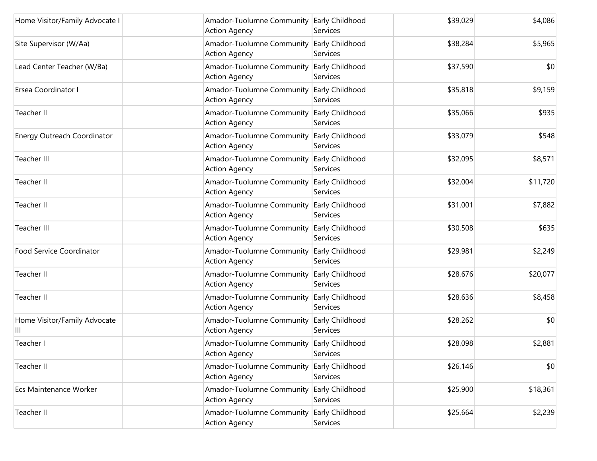| Home Visitor/Family Advocate I    | Amador-Tuolumne Community<br><b>Action Agency</b>          | Early Childhood<br>Services | \$39,029 | \$4,086  |
|-----------------------------------|------------------------------------------------------------|-----------------------------|----------|----------|
| Site Supervisor (W/Aa)            | Amador-Tuolumne Community<br><b>Action Agency</b>          | Early Childhood<br>Services | \$38,284 | \$5,965  |
| Lead Center Teacher (W/Ba)        | Amador-Tuolumne Community<br><b>Action Agency</b>          | Early Childhood<br>Services | \$37,590 | \$0      |
| Ersea Coordinator I               | Amador-Tuolumne Community<br><b>Action Agency</b>          | Early Childhood<br>Services | \$35,818 | \$9,159  |
| Teacher II                        | Amador-Tuolumne Community<br><b>Action Agency</b>          | Early Childhood<br>Services | \$35,066 | \$935    |
| Energy Outreach Coordinator       | Amador-Tuolumne Community<br><b>Action Agency</b>          | Early Childhood<br>Services | \$33,079 | \$548    |
| Teacher III                       | Amador-Tuolumne Community<br><b>Action Agency</b>          | Early Childhood<br>Services | \$32,095 | \$8,571  |
| Teacher II                        | Amador-Tuolumne Community<br><b>Action Agency</b>          | Early Childhood<br>Services | \$32,004 | \$11,720 |
| Teacher II                        | Amador-Tuolumne Community<br><b>Action Agency</b>          | Early Childhood<br>Services | \$31,001 | \$7,882  |
| <b>Teacher III</b>                | Amador-Tuolumne Community<br><b>Action Agency</b>          | Early Childhood<br>Services | \$30,508 | \$635    |
| Food Service Coordinator          | Amador-Tuolumne Community<br><b>Action Agency</b>          | Early Childhood<br>Services | \$29,981 | \$2,249  |
| Teacher II                        | Amador-Tuolumne Community<br><b>Action Agency</b>          | Early Childhood<br>Services | \$28,676 | \$20,077 |
| Teacher II                        | Amador-Tuolumne Community<br><b>Action Agency</b>          | Early Childhood<br>Services | \$28,636 | \$8,458  |
| Home Visitor/Family Advocate<br>Ш | Amador-Tuolumne Community<br><b>Action Agency</b>          | Early Childhood<br>Services | \$28,262 | \$0      |
| Teacher I                         | Amador-Tuolumne Community Early Childhood<br>Action Agency | Services                    | \$28,098 | \$2,881  |
| Teacher II                        | Amador-Tuolumne Community<br><b>Action Agency</b>          | Early Childhood<br>Services | \$26,146 | \$0      |
| Ecs Maintenance Worker            | Amador-Tuolumne Community<br><b>Action Agency</b>          | Early Childhood<br>Services | \$25,900 | \$18,361 |
| Teacher II                        | Amador-Tuolumne Community<br><b>Action Agency</b>          | Early Childhood<br>Services | \$25,664 | \$2,239  |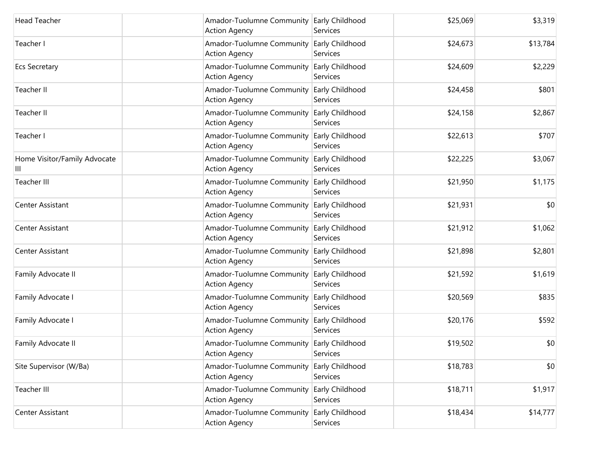| <b>Head Teacher</b>               | Amador-Tuolumne Community Early Childhood<br><b>Action Agency</b> | Services                           | \$25,069 | \$3,319  |
|-----------------------------------|-------------------------------------------------------------------|------------------------------------|----------|----------|
| Teacher I                         | Amador-Tuolumne Community<br><b>Action Agency</b>                 | Early Childhood<br>Services        | \$24,673 | \$13,784 |
| <b>Ecs Secretary</b>              | Amador-Tuolumne Community<br><b>Action Agency</b>                 | Early Childhood<br>Services        | \$24,609 | \$2,229  |
| Teacher II                        | Amador-Tuolumne Community<br><b>Action Agency</b>                 | <b>Early Childhood</b><br>Services | \$24,458 | \$801    |
| Teacher II                        | Amador-Tuolumne Community<br><b>Action Agency</b>                 | Early Childhood<br>Services        | \$24,158 | \$2,867  |
| Teacher I                         | Amador-Tuolumne Community<br><b>Action Agency</b>                 | Early Childhood<br>Services        | \$22,613 | \$707    |
| Home Visitor/Family Advocate<br>Ш | Amador-Tuolumne Community<br><b>Action Agency</b>                 | Early Childhood<br>Services        | \$22,225 | \$3,067  |
| Teacher III                       | Amador-Tuolumne Community<br><b>Action Agency</b>                 | Early Childhood<br>Services        | \$21,950 | \$1,175  |
| Center Assistant                  | Amador-Tuolumne Community<br><b>Action Agency</b>                 | Early Childhood<br>Services        | \$21,931 | \$0      |
| Center Assistant                  | Amador-Tuolumne Community<br><b>Action Agency</b>                 | Early Childhood<br>Services        | \$21,912 | \$1,062  |
| Center Assistant                  | Amador-Tuolumne Community<br><b>Action Agency</b>                 | Early Childhood<br>Services        | \$21,898 | \$2,801  |
| Family Advocate II                | Amador-Tuolumne Community<br><b>Action Agency</b>                 | Early Childhood<br>Services        | \$21,592 | \$1,619  |
| Family Advocate I                 | Amador-Tuolumne Community<br><b>Action Agency</b>                 | Early Childhood<br>Services        | \$20,569 | \$835    |
| Family Advocate I                 | Amador-Tuolumne Community<br><b>Action Agency</b>                 | Early Childhood<br>Services        | \$20,176 | \$592    |
| Family Advocate II                | Amador-Tuolumne Community Early Childhood<br><b>Action Agency</b> | Services                           | \$19,502 | \$0      |
| Site Supervisor (W/Ba)            | Amador-Tuolumne Community<br><b>Action Agency</b>                 | Early Childhood<br>Services        | \$18,783 | \$0      |
| Teacher III                       | Amador-Tuolumne Community<br><b>Action Agency</b>                 | Early Childhood<br>Services        | \$18,711 | \$1,917  |
| Center Assistant                  | Amador-Tuolumne Community<br><b>Action Agency</b>                 | Early Childhood<br>Services        | \$18,434 | \$14,777 |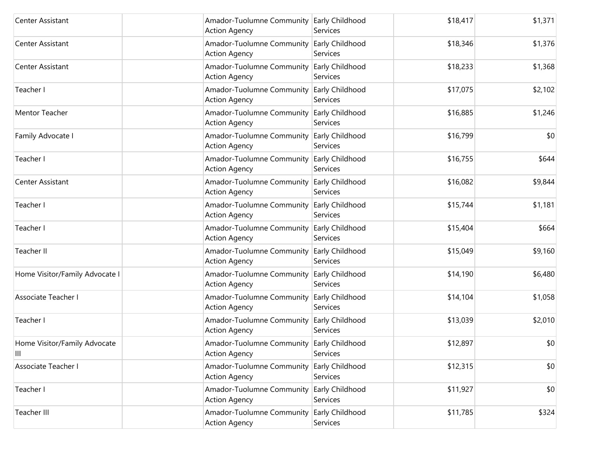| Center Assistant                  | Amador-Tuolumne Community Early Childhood<br><b>Action Agency</b> | Services                    | \$18,417 | \$1,371 |
|-----------------------------------|-------------------------------------------------------------------|-----------------------------|----------|---------|
| Center Assistant                  | Amador-Tuolumne Community<br><b>Action Agency</b>                 | Early Childhood<br>Services | \$18,346 | \$1,376 |
| Center Assistant                  | Amador-Tuolumne Community<br><b>Action Agency</b>                 | Early Childhood<br>Services | \$18,233 | \$1,368 |
| Teacher I                         | Amador-Tuolumne Community Early Childhood<br><b>Action Agency</b> | Services                    | \$17,075 | \$2,102 |
| <b>Mentor Teacher</b>             | Amador-Tuolumne Community<br><b>Action Agency</b>                 | Early Childhood<br>Services | \$16,885 | \$1,246 |
| Family Advocate I                 | Amador-Tuolumne Community<br><b>Action Agency</b>                 | Early Childhood<br>Services | \$16,799 | \$0     |
| Teacher I                         | Amador-Tuolumne Community<br><b>Action Agency</b>                 | Early Childhood<br>Services | \$16,755 | \$644   |
| Center Assistant                  | Amador-Tuolumne Community<br><b>Action Agency</b>                 | Early Childhood<br>Services | \$16,082 | \$9,844 |
| Teacher I                         | Amador-Tuolumne Community<br><b>Action Agency</b>                 | Early Childhood<br>Services | \$15,744 | \$1,181 |
| Teacher I                         | Amador-Tuolumne Community<br><b>Action Agency</b>                 | Early Childhood<br>Services | \$15,404 | \$664   |
| Teacher II                        | Amador-Tuolumne Community<br><b>Action Agency</b>                 | Early Childhood<br>Services | \$15,049 | \$9,160 |
| Home Visitor/Family Advocate I    | Amador-Tuolumne Community<br><b>Action Agency</b>                 | Early Childhood<br>Services | \$14,190 | \$6,480 |
| Associate Teacher I               | Amador-Tuolumne Community<br><b>Action Agency</b>                 | Early Childhood<br>Services | \$14,104 | \$1,058 |
| Teacher I                         | Amador-Tuolumne Community<br><b>Action Agency</b>                 | Early Childhood<br>Services | \$13,039 | \$2,010 |
| Home Visitor/Family Advocate<br>Ш | Amador-Tuolumne Community Early Childhood<br><b>Action Agency</b> | Services                    | \$12,897 | \$0     |
| Associate Teacher I               | Amador-Tuolumne Community<br><b>Action Agency</b>                 | Early Childhood<br>Services | \$12,315 | \$0     |
| Teacher I                         | Amador-Tuolumne Community<br><b>Action Agency</b>                 | Early Childhood<br>Services | \$11,927 | \$0     |
| Teacher III                       | Amador-Tuolumne Community<br><b>Action Agency</b>                 | Early Childhood<br>Services | \$11,785 | \$324   |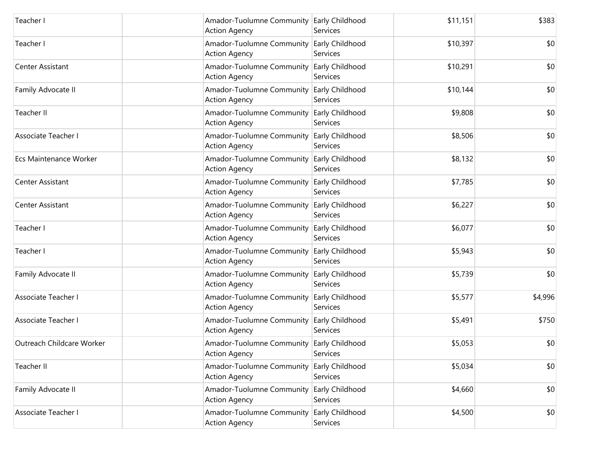| Teacher I                 | Amador-Tuolumne Community Early Childhood<br><b>Action Agency</b> | Services                    | \$11,151 | \$383   |
|---------------------------|-------------------------------------------------------------------|-----------------------------|----------|---------|
| Teacher I                 | Amador-Tuolumne Community<br><b>Action Agency</b>                 | Early Childhood<br>Services | \$10,397 | \$0     |
| Center Assistant          | Amador-Tuolumne Community<br><b>Action Agency</b>                 | Early Childhood<br>Services | \$10,291 | \$0     |
| Family Advocate II        | Amador-Tuolumne Community Early Childhood<br><b>Action Agency</b> | Services                    | \$10,144 | \$0     |
| Teacher II                | Amador-Tuolumne Community<br><b>Action Agency</b>                 | Early Childhood<br>Services | \$9,808  | \$0     |
| Associate Teacher I       | Amador-Tuolumne Community<br><b>Action Agency</b>                 | Early Childhood<br>Services | \$8,506  | \$0     |
| Ecs Maintenance Worker    | Amador-Tuolumne Community<br><b>Action Agency</b>                 | Early Childhood<br>Services | \$8,132  | \$0     |
| Center Assistant          | Amador-Tuolumne Community<br><b>Action Agency</b>                 | Early Childhood<br>Services | \$7,785  | \$0     |
| Center Assistant          | Amador-Tuolumne Community<br><b>Action Agency</b>                 | Early Childhood<br>Services | \$6,227  | \$0     |
| Teacher I                 | Amador-Tuolumne Community<br><b>Action Agency</b>                 | Early Childhood<br>Services | \$6,077  | \$0     |
| Teacher I                 | Amador-Tuolumne Community<br><b>Action Agency</b>                 | Early Childhood<br>Services | \$5,943  | \$0     |
| Family Advocate II        | Amador-Tuolumne Community<br><b>Action Agency</b>                 | Early Childhood<br>Services | \$5,739  | \$0     |
| Associate Teacher I       | Amador-Tuolumne Community<br><b>Action Agency</b>                 | Early Childhood<br>Services | \$5,577  | \$4,996 |
| Associate Teacher I       | Amador-Tuolumne Community<br><b>Action Agency</b>                 | Early Childhood<br>Services | \$5,491  | \$750   |
| Outreach Childcare Worker | Amador-Tuolumne Community Early Childhood<br><b>Action Agency</b> | Services                    | \$5,053  | \$0     |
| Teacher II                | Amador-Tuolumne Community<br><b>Action Agency</b>                 | Early Childhood<br>Services | \$5,034  | \$0     |
| Family Advocate II        | Amador-Tuolumne Community<br><b>Action Agency</b>                 | Early Childhood<br>Services | \$4,660  | \$0     |
| Associate Teacher I       | Amador-Tuolumne Community<br><b>Action Agency</b>                 | Early Childhood<br>Services | \$4,500  | \$0     |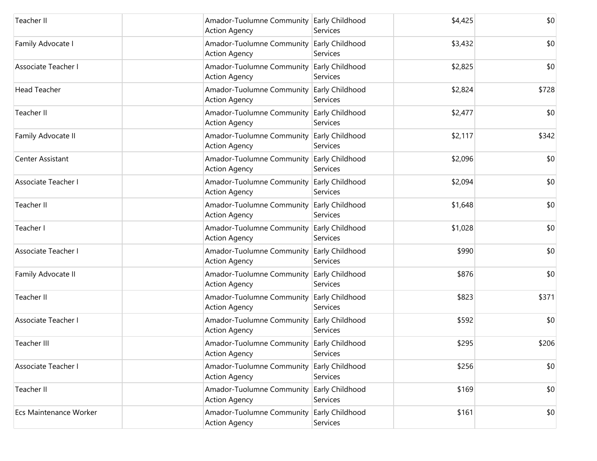| Teacher II             | Amador-Tuolumne Community Early Childhood<br><b>Action Agency</b> | Services                           | \$4,425 | \$0   |
|------------------------|-------------------------------------------------------------------|------------------------------------|---------|-------|
| Family Advocate I      | Amador-Tuolumne Community Early Childhood<br><b>Action Agency</b> | Services                           | \$3,432 | \$0   |
| Associate Teacher I    | Amador-Tuolumne Community<br><b>Action Agency</b>                 | <b>Early Childhood</b><br>Services | \$2,825 | \$0   |
| <b>Head Teacher</b>    | Amador-Tuolumne Community<br><b>Action Agency</b>                 | <b>Early Childhood</b><br>Services | \$2,824 | \$728 |
| Teacher II             | Amador-Tuolumne Community<br><b>Action Agency</b>                 | Early Childhood<br>Services        | \$2,477 | \$0   |
| Family Advocate II     | Amador-Tuolumne Community<br><b>Action Agency</b>                 | Early Childhood<br>Services        | \$2,117 | \$342 |
| Center Assistant       | Amador-Tuolumne Community<br><b>Action Agency</b>                 | Early Childhood<br>Services        | \$2,096 | \$0   |
| Associate Teacher I    | Amador-Tuolumne Community<br><b>Action Agency</b>                 | Early Childhood<br>Services        | \$2,094 | \$0   |
| Teacher II             | Amador-Tuolumne Community<br><b>Action Agency</b>                 | <b>Early Childhood</b><br>Services | \$1,648 | \$0   |
| Teacher I              | Amador-Tuolumne Community<br><b>Action Agency</b>                 | Early Childhood<br>Services        | \$1,028 | \$0   |
| Associate Teacher I    | Amador-Tuolumne Community<br><b>Action Agency</b>                 | Early Childhood<br>Services        | \$990   | \$0   |
| Family Advocate II     | Amador-Tuolumne Community<br><b>Action Agency</b>                 | Early Childhood<br>Services        | \$876   | \$0   |
| Teacher II             | Amador-Tuolumne Community<br><b>Action Agency</b>                 | Early Childhood<br>Services        | \$823   | \$371 |
| Associate Teacher I    | Amador-Tuolumne Community<br><b>Action Agency</b>                 | Early Childhood<br>Services        | \$592   | \$0   |
| Teacher III            | Amador-Tuolumne Community Early Childhood<br><b>Action Agency</b> | Services                           | \$295   | \$206 |
| Associate Teacher I    | Amador-Tuolumne Community<br><b>Action Agency</b>                 | Early Childhood<br>Services        | \$256   | \$0   |
| Teacher II             | Amador-Tuolumne Community<br><b>Action Agency</b>                 | Early Childhood<br>Services        | \$169   | \$0   |
| Ecs Maintenance Worker | Amador-Tuolumne Community<br><b>Action Agency</b>                 | Early Childhood<br>Services        | \$161   | \$0   |